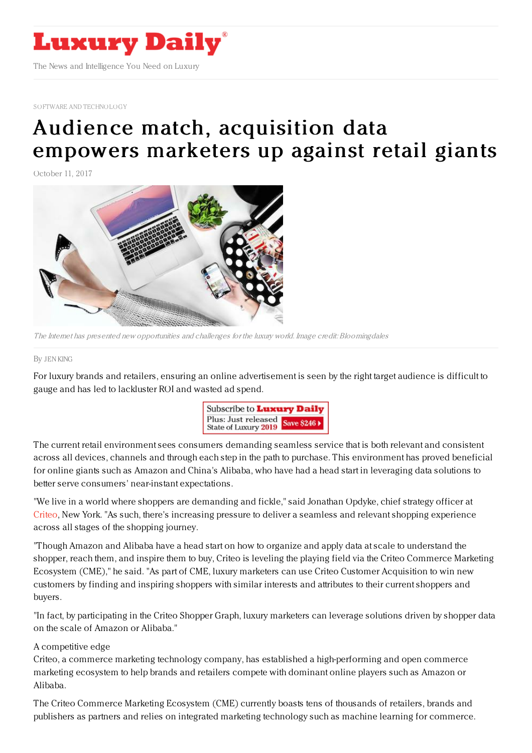

SOFTWARE AND [TECHNOLOGY](https://www.luxurydaily.com/category/sectors/software-and-technology-industry-sectors/)

## Audience match, [acquisition](https://www.luxurydaily.com/audience-match-and-acquisition-data-empowers-marketers-up-against-retail-giants/) data empowers marketers up against retail giants

October 11, 2017



The Internet has presented new opportunities and challenges for the luxury world. Image credit: Bloomingdales

## By JEN [KING](file:///author/jen-king)

For luxury brands and retailers, ensuring an online advertisement is seen by the right target audience is difficult to gauge and has led to lackluster ROI and wasted ad spend.



The current retail environment sees consumers demanding seamless service that is both relevant and consistent across all devices, channels and through each step in the path to purchase. This environment has proved beneficial for online giants such as Amazon and China's Alibaba, who have had a head start in leveraging data solutions to better serve consumers' near-instant expectations.

"We live in a world where shoppers are demanding and fickle," said Jonathan Opdyke, chief strategy officer at [Criteo](http://www.criteo.com), New York. "As such, there's increasing pressure to deliver a seamless and relevant shopping experience across all stages of the shopping journey.

"Though Amazon and Alibaba have a head start on how to organize and apply data at scale to understand the shopper, reach them, and inspire them to buy, Criteo is leveling the playing field via the Criteo Commerce Marketing Ecosystem (CME)," he said. "As part of CME, luxury marketers can use Criteo Customer Acquisition to win new customers by finding and inspiring shoppers with similar interests and attributes to their current shoppers and buyers.

"In fact, by participating in the Criteo Shopper Graph, luxury marketers can leverage solutions driven by shopper data on the scale of Amazon or Alibaba."

## A competitive edge

Criteo, a commerce marketing technology company, has established a high-performing and open commerce marketing ecosystem to help brands and retailers compete with dominant online players such as Amazon or Alibaba.

The Criteo Commerce Marketing Ecosystem (CME) currently boasts tens of thousands of retailers, brands and publishers as partners and relies on integrated marketing technology such as machine learning for commerce.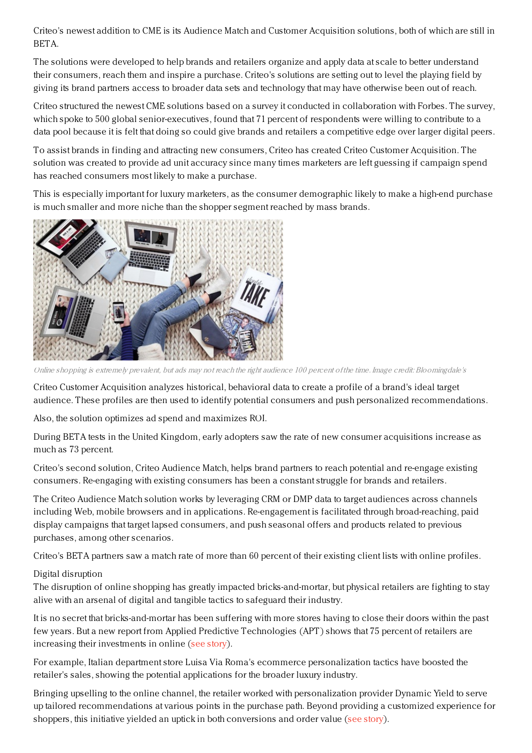Criteo's newest addition to CME is its Audience Match and Customer Acquisition solutions, both of which are still in BETA.

The solutions were developed to help brands and retailers organize and apply data at scale to better understand their consumers, reach them and inspire a purchase. Criteo's solutions are setting out to level the playing field by giving its brand partners access to broader data sets and technology that may have otherwise been out of reach.

Criteo structured the newest CME solutions based on a survey it conducted in collaboration with Forbes. The survey, which spoke to 500 global senior-executives, found that 71 percent of respondents were willing to contribute to a data pool because it is felt that doing so could give brands and retailers a competitive edge over larger digital peers.

To assist brands in finding and attracting new consumers, Criteo has created Criteo Customer Acquisition. The solution was created to provide ad unit accuracy since many times marketers are left guessing if campaign spend has reached consumers most likely to make a purchase.

This is especially important for luxury marketers, as the consumer demographic likely to make a high-end purchase is much smaller and more niche than the shopper segment reached by mass brands.



Online shopping is extremely prevalent, but ads may not reach the right audience 100 percent of the time. Image credit: Bloomingdale's

Criteo Customer Acquisition analyzes historical, behavioral data to create a profile of a brand's ideal target audience. These profiles are then used to identify potential consumers and push personalized recommendations.

Also, the solution optimizes ad spend and maximizes ROI.

During BETA tests in the United Kingdom, early adopters saw the rate of new consumer acquisitions increase as much as 73 percent.

Criteo's second solution, Criteo Audience Match, helps brand partners to reach potential and re-engage existing consumers. Re-engaging with existing consumers has been a constant struggle for brands and retailers.

The Criteo Audience Match solution works by leveraging CRM or DMP data to target audiences across channels including Web, mobile browsers and in applications. Re-engagement is facilitated through broad-reaching, paid display campaigns that target lapsed consumers, and push seasonal offers and products related to previous purchases, among other scenarios.

Criteo's BETA partners saw a match rate of more than 60 percent of their existing client lists with online profiles.

## Digital disruption

The disruption of online shopping has greatly impacted bricks-and-mortar, but physical retailers are fighting to stay alive with an arsenal of digital and tangible tactics to safeguard their industry.

It is no secret that bricks-and-mortar has been suffering with more stores having to close their doors within the past few years. But a new report from Applied Predictive Technologies (APT) shows that 75 percent of retailers are increasing their investments in online (see [story](https://www.luxurydaily.com/retailers-arm-themselves-with-tools-to-combat-online-report/)).

For example, Italian department store Luisa Via Roma's ecommerce personalization tactics have boosted the retailer's sales, showing the potential applications for the broader luxury industry.

Bringing upselling to the online channel, the retailer worked with personalization provider Dynamic Yield to serve up tailored recommendations at various points in the purchase path. Beyond providing a customized experience for shoppers, this initiative yielded an uptick in both conversions and order value (see [story](https://www.luxurydaily.com/luisa-via-romas-personalized-targeting-results-in-ecommerce-lift/)).